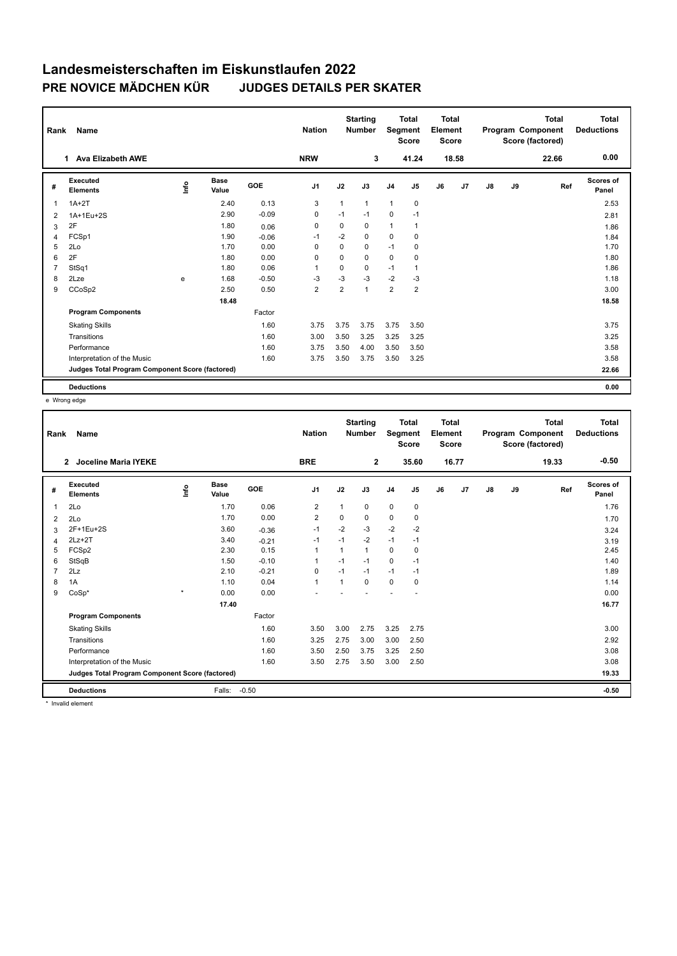## **Landesmeisterschaften im Eiskunstlaufen 2022 PRE NOVICE MÄDCHEN KÜR JUDGES DETAILS PER SKATER**

| Rank           | Name                                            |      |                      |         | <b>Nation</b>  |                | <b>Starting</b><br><b>Number</b> | Segment        | <b>Total</b><br><b>Score</b> | <b>Total</b><br>Element<br>Score |                |    |    | <b>Total</b><br>Program Component<br>Score (factored) | <b>Total</b><br><b>Deductions</b> |
|----------------|-------------------------------------------------|------|----------------------|---------|----------------|----------------|----------------------------------|----------------|------------------------------|----------------------------------|----------------|----|----|-------------------------------------------------------|-----------------------------------|
|                | <b>Ava Elizabeth AWE</b><br>1.                  |      |                      |         | <b>NRW</b>     |                | 3                                |                | 41.24                        |                                  | 18.58          |    |    | 22.66                                                 | 0.00                              |
| #              | Executed<br><b>Elements</b>                     | lnfo | <b>Base</b><br>Value | GOE     | J <sub>1</sub> | J2             | J3                               | J <sub>4</sub> | J <sub>5</sub>               | J6                               | J <sub>7</sub> | J8 | J9 | Ref                                                   | <b>Scores of</b><br>Panel         |
| 1              | $1A+2T$                                         |      | 2.40                 | 0.13    | 3              | $\mathbf{1}$   | 1                                | $\mathbf{1}$   | $\mathbf 0$                  |                                  |                |    |    |                                                       | 2.53                              |
| 2              | 1A+1Eu+2S                                       |      | 2.90                 | $-0.09$ | 0              | $-1$           | $-1$                             | $\mathbf 0$    | $-1$                         |                                  |                |    |    |                                                       | 2.81                              |
| 3              | 2F                                              |      | 1.80                 | 0.06    | 0              | 0              | $\Omega$                         | $\mathbf{1}$   | $\mathbf{1}$                 |                                  |                |    |    |                                                       | 1.86                              |
| $\overline{4}$ | FCSp1                                           |      | 1.90                 | $-0.06$ | $-1$           | $-2$           | 0                                | $\mathbf 0$    | $\mathbf 0$                  |                                  |                |    |    |                                                       | 1.84                              |
| 5              | 2Lo                                             |      | 1.70                 | 0.00    | 0              | 0              | 0                                | $-1$           | 0                            |                                  |                |    |    |                                                       | 1.70                              |
| 6              | 2F                                              |      | 1.80                 | 0.00    | 0              | 0              | 0                                | $\mathbf 0$    | 0                            |                                  |                |    |    |                                                       | 1.80                              |
| $\overline{7}$ | StSq1                                           |      | 1.80                 | 0.06    | $\overline{1}$ | $\Omega$       | $\Omega$                         | $-1$           | 1                            |                                  |                |    |    |                                                       | 1.86                              |
| 8              | 2Lze                                            | e    | 1.68                 | $-0.50$ | $-3$           | $-3$           | $-3$                             | $-2$           | $-3$                         |                                  |                |    |    |                                                       | 1.18                              |
| 9              | CCoSp2                                          |      | 2.50                 | 0.50    | $\overline{2}$ | $\overline{2}$ | 1                                | $\overline{2}$ | $\overline{2}$               |                                  |                |    |    |                                                       | 3.00                              |
|                |                                                 |      | 18.48                |         |                |                |                                  |                |                              |                                  |                |    |    |                                                       | 18.58                             |
|                | <b>Program Components</b>                       |      |                      | Factor  |                |                |                                  |                |                              |                                  |                |    |    |                                                       |                                   |
|                | <b>Skating Skills</b>                           |      |                      | 1.60    | 3.75           | 3.75           | 3.75                             | 3.75           | 3.50                         |                                  |                |    |    |                                                       | 3.75                              |
|                | Transitions                                     |      |                      | 1.60    | 3.00           | 3.50           | 3.25                             | 3.25           | 3.25                         |                                  |                |    |    |                                                       | 3.25                              |
|                | Performance                                     |      |                      | 1.60    | 3.75           | 3.50           | 4.00                             | 3.50           | 3.50                         |                                  |                |    |    |                                                       | 3.58                              |
|                | Interpretation of the Music                     |      |                      | 1.60    | 3.75           | 3.50           | 3.75                             | 3.50           | 3.25                         |                                  |                |    |    |                                                       | 3.58                              |
|                | Judges Total Program Component Score (factored) |      |                      |         |                |                |                                  |                |                              |                                  |                |    |    |                                                       | 22.66                             |
|                | <b>Deductions</b>                               |      |                      |         |                |                |                                  |                |                              |                                  |                |    |    |                                                       | 0.00                              |

e Wrong edge

| Rank | Name                                            |         |                      |            | <b>Nation</b>  |      | <b>Starting</b><br><b>Number</b> |                | <b>Total</b><br>Segment<br><b>Score</b> | <b>Total</b><br>Element<br><b>Score</b> |       |               |    | <b>Total</b><br>Program Component<br>Score (factored) | <b>Total</b><br><b>Deductions</b> |
|------|-------------------------------------------------|---------|----------------------|------------|----------------|------|----------------------------------|----------------|-----------------------------------------|-----------------------------------------|-------|---------------|----|-------------------------------------------------------|-----------------------------------|
|      | <b>Joceline Maria IYEKE</b><br>$\overline{2}$   |         |                      |            | <b>BRE</b>     |      | $\overline{2}$                   |                | 35.60                                   |                                         | 16.77 |               |    | 19.33                                                 | $-0.50$                           |
| #    | Executed<br><b>Elements</b>                     | lnfo    | <b>Base</b><br>Value | <b>GOE</b> | J <sub>1</sub> | J2   | J3                               | J <sub>4</sub> | J <sub>5</sub>                          | J6                                      | J7    | $\mathsf{J}8$ | J9 | Ref                                                   | Scores of<br>Panel                |
| 1    | 2Lo                                             |         | 1.70                 | 0.06       | $\overline{2}$ | 1    | 0                                | $\mathbf 0$    | $\pmb{0}$                               |                                         |       |               |    |                                                       | 1.76                              |
| 2    | 2Lo                                             |         | 1.70                 | 0.00       | 2              | 0    | 0                                | 0              | 0                                       |                                         |       |               |    |                                                       | 1.70                              |
| 3    | 2F+1Eu+2S                                       |         | 3.60                 | $-0.36$    | $-1$           | $-2$ | $-3$                             | $-2$           | $-2$                                    |                                         |       |               |    |                                                       | 3.24                              |
| 4    | $2Lz+2T$                                        |         | 3.40                 | $-0.21$    | $-1$           | $-1$ | $-2$                             | $-1$           | $-1$                                    |                                         |       |               |    |                                                       | 3.19                              |
| 5    | FCSp2                                           |         | 2.30                 | 0.15       | $\overline{1}$ |      | $\mathbf{1}$                     | 0              | 0                                       |                                         |       |               |    |                                                       | 2.45                              |
| 6    | StSqB                                           |         | 1.50                 | $-0.10$    | 1              | $-1$ | $-1$                             | 0              | $-1$                                    |                                         |       |               |    |                                                       | 1.40                              |
|      | 2Lz                                             |         | 2.10                 | $-0.21$    | 0              | $-1$ | $-1$                             | $-1$           | $-1$                                    |                                         |       |               |    |                                                       | 1.89                              |
| 8    | 1A                                              |         | 1.10                 | 0.04       | $\mathbf{1}$   | 1    | $\mathbf 0$                      | $\mathbf 0$    | $\mathbf 0$                             |                                         |       |               |    |                                                       | 1.14                              |
| 9    | $CoSp*$                                         | $\star$ | 0.00                 | 0.00       |                |      |                                  |                |                                         |                                         |       |               |    |                                                       | 0.00                              |
|      |                                                 |         | 17.40                |            |                |      |                                  |                |                                         |                                         |       |               |    |                                                       | 16.77                             |
|      | <b>Program Components</b>                       |         |                      | Factor     |                |      |                                  |                |                                         |                                         |       |               |    |                                                       |                                   |
|      | <b>Skating Skills</b>                           |         |                      | 1.60       | 3.50           | 3.00 | 2.75                             | 3.25           | 2.75                                    |                                         |       |               |    |                                                       | 3.00                              |
|      | Transitions                                     |         |                      | 1.60       | 3.25           | 2.75 | 3.00                             | 3.00           | 2.50                                    |                                         |       |               |    |                                                       | 2.92                              |
|      | Performance                                     |         |                      | 1.60       | 3.50           | 2.50 | 3.75                             | 3.25           | 2.50                                    |                                         |       |               |    |                                                       | 3.08                              |
|      | Interpretation of the Music                     |         |                      | 1.60       | 3.50           | 2.75 | 3.50                             | 3.00           | 2.50                                    |                                         |       |               |    |                                                       | 3.08                              |
|      | Judges Total Program Component Score (factored) |         |                      |            |                |      |                                  |                |                                         |                                         |       |               |    |                                                       | 19.33                             |
|      | <b>Deductions</b>                               |         | Falls:               | $-0.50$    |                |      |                                  |                |                                         |                                         |       |               |    |                                                       | $-0.50$                           |

\* Invalid element